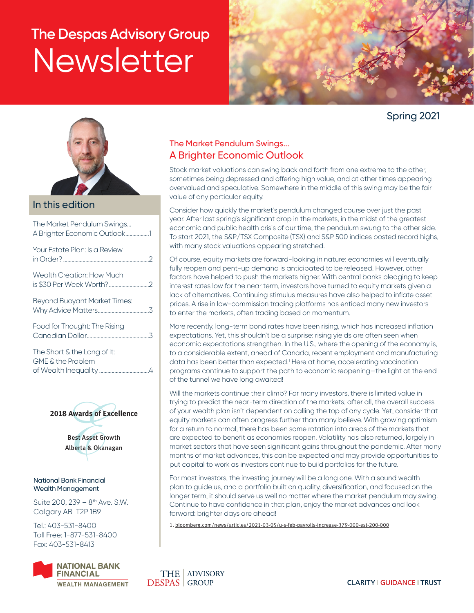# **The Despas Advisory Group Newsletter**



Spring 2021



## In this edition

| The Market Pendulum Swings<br>A Brighter Economic Outlook1 |  |
|------------------------------------------------------------|--|
| Your Estate Plan: Is a Review                              |  |
| <b>Wealth Creation: How Much</b>                           |  |
| <b>Beyond Buoyant Market Times:</b>                        |  |
| Food for Thought: The Rising                               |  |
| The Short & the Long of It:<br>$\bigcap_{i=1}^{n}$         |  |

| <u>THE UNIVERSITY LUNG UNIVE</u> |
|----------------------------------|
| GME & the Problem                |
|                                  |



Best Asset Growth Alberta & Okanagan

#### National Bank Financial Wealth Management

Suite 200, 239 - 8<sup>th</sup> Ave. S.W. Calgary AB T2P 1B9

Tel.: 403-531-8400 Toll Free: 1-877-531-8400 Fax: 403-531-8413



## The Market Pendulum Swings... A Brighter Economic Outlook

Stock market valuations can swing back and forth from one extreme to the other, sometimes being depressed and offering high value, and at other times appearing overvalued and speculative. Somewhere in the middle of this swing may be the fair value of any particular equity.

Consider how quickly the market's pendulum changed course over just the past year. After last spring's significant drop in the markets, in the midst of the greatest economic and public health crisis of our time, the pendulum swung to the other side. To start 2021, the S&P/TSX Composite (TSX) and S&P 500 indices posted record highs, with many stock valuations appearing stretched.

Of course, equity markets are forward-looking in nature: economies will eventually fully reopen and pent-up demand is anticipated to be released. However, other factors have helped to push the markets higher. With central banks pledging to keep interest rates low for the near term, investors have turned to equity markets given a lack of alternatives. Continuing stimulus measures have also helped to inflate asset prices. A rise in low-commission trading platforms has enticed many new investors to enter the markets, often trading based on momentum.

More recently, long-term bond rates have been rising, which has increased inflation expectations. Yet, this shouldn't be a surprise: rising yields are often seen when economic expectations strengthen. In the U.S., where the opening of the economy is, to a considerable extent, ahead of Canada, recent employment and manufacturing data has been better than expected.<sup>1</sup> Here at home, accelerating vaccination programs continue to support the path to economic reopening—the light at the end of the tunnel we have long awaited!

Will the markets continue their climb? For many investors, there is limited value in trying to predict the near-term direction of the markets; after all, the overall success of your wealth plan isn't dependent on calling the top of any cycle. Yet, consider that equity markets can often progress further than many believe. With growing optimism for a return to normal, there has been some rotation into areas of the markets that are expected to benefit as economies reopen. Volatility has also returned, largely in market sectors that have seen significant gains throughout the pandemic. After many months of market advances, this can be expected and may provide opportunities to put capital to work as investors continue to build portfolios for the future.

For most investors, the investing journey will be a long one. With a sound wealth plan to guide us, and a portfolio built on quality, diversification, and focused on the longer term, it should serve us well no matter where the market pendulum may swing. Continue to have confidence in that plan, enjoy the market advances and look forward: brighter days are ahead!

1. [bloomberg.com/news/articles/2021-03-05/u-s-feb-payrolls-increase-379-000-est-200-000](https://www.bloomberg.com/news/articles/2021-03-05/u-s-feb-payrolls-increase-379-000-est-200-000)

**CLARITY | GUIDANCE | TRUST**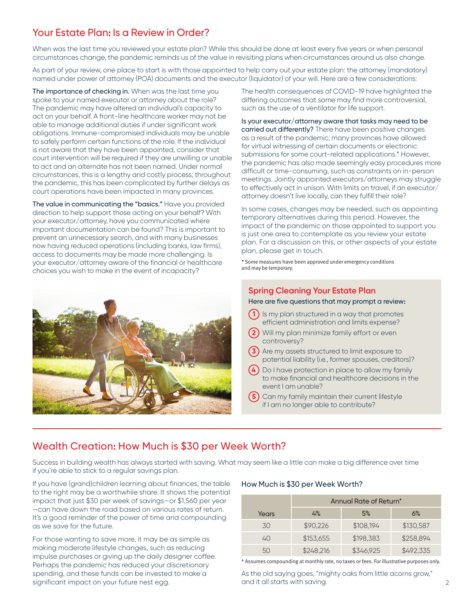# Your Estate Plan: Is a Review in Order?

When was the last time you reviewed your estate plan? While this should be done at least every five years or when personal circumstances change, the pandemic reminds us of the value in revisiting plans when circumstances around us also change.

As part of your review, one place to start is with those appointed to help carry out your estate plan: the attorney (mandatory) named under power of attorney (POA) documents and the executor (liquidator) of your will. Here are a few considerations:

The importance of checking in. When was the last time you spoke to your named executor or attorney about the role? The pandemic may have altered an individual's capacity to act on your behalf. A front-line healthcare worker may not be able to manage additional duties if under significant work obligations. Immune-compromised individuals may be unable to safely perform certain functions of the role. If the individual is not aware that they have been appointed, consider that court intervention will be required if they are unwilling or unable to act and an alternate has not been named. Under normal circumstances, this is a lengthy and costly process; throughout the pandemic, this has been complicated by further delays as court operations have been impacted in many provinces.

The value in communicating the "basics." Have you provided direction to help support those acting on your behalf? With your executor/attorney, have you communicated where important documentation can be found? This is important to prevent an unnecessary search, and with many businesses now having reduced operations (including banks, law firms), access to documents may be made more challenging. Is your executor/attorney aware of the financial or healthcare choices you wish to make in the event of incapacity?



The health consequences of COVID-19 have highlighted the differing outcomes that some may find more controversial, such as the use of a ventilator for life support.

Is your executor/attorney aware that tasks may need to be carried out differently? There have been positive changes as a result of the pandemic; many provinces have allowed for virtual witnessing of certain documents or electronic submissions for some court-related applications.\* However, the pandemic has also made seemingly easy procedures more difficult or time-consuming, such as constraints on in-person meetings. Jointly appointed executors/attorneys may struggle to effectively act in unison. With limits on travel, if an executor/ attorney doesn't live locally, can they fulfill their role?

In some cases, changes may be needed, such as appointing temporary alternatives during this period. However, the impact of the pandemic on those appointed to support you is just one area to contemplate as you review your estate plan. For a discussion on this, or other aspects of your estate plan, please get in touch.

\* Some measures have been approved under emergency conditions and may be temporary.

## **Spring Cleaning Your Estate Plan**

#### Here are five questions that may prompt a review:

- **1** Is my plan structured in a way that promotes efficient administration and limits expense?
- **2** Will my plan minimize family effort or even controversy?
- **3** Are my assets structured to limit exposure to potential liability (i.e., former spouses, creditors)?
- **4** Do I have protection in place to allow my family to make financial and healthcare decisions in the event I am unable?
- **5** Can my family maintain their current lifestyle if I am no longer able to contribute?

# Wealth Creation: How Much is \$30 per Week Worth?

Success in building wealth has always started with saving. What may seem like a little can make a big difference over time if you're able to stick to a regular savings plan.

If you have (grand)children learning about finances, the table to the right may be a worthwhile share. It shows the potential impact that just \$30 per week of savings—or \$1,560 per year —can have down the road based on various rates of return. It's a good reminder of the power of time and compounding as we save for the future.

For those wanting to save more, it may be as simple as making moderate lifestyle changes, such as reducing impulse purchases or giving up the daily designer coffee. Perhaps the pandemic has reduced your discretionary spending, and these funds can be invested to make a significant impact on your future nest egg.

#### How Much is \$30 per Week Worth?

|       | Annual Rate of Return* |           |           |  |
|-------|------------------------|-----------|-----------|--|
| Years | 4%                     | 5%        | 6%        |  |
| 30    | \$90,226               | \$108,194 | \$130,587 |  |
| 40    | \$153,655              | \$198.383 | \$258,894 |  |
| 50    | \$248,216              | \$346,925 | \$492,335 |  |

\* Assumes compounding at monthly rate, no taxes or fees. For illustrative purposes only.

As the old saying goes, "mighty oaks from little acorns grow," and it all starts with saving. The contract of the contract of the contract of the contract of the contract of the contract of the contract of the contract of the contract of the contract of the contract of the contract of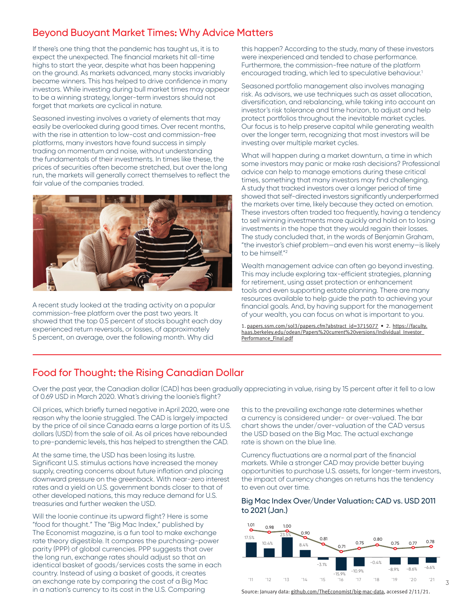# Beyond Buoyant Market Times: Why Advice Matters

If there's one thing that the pandemic has taught us, it is to expect the unexpected. The financial markets hit all-time highs to start the year, despite what has been happening on the ground. As markets advanced, many stocks invariably became winners. This has helped to drive confidence in many investors. While investing during bull market times may appear to be a winning strategy, longer-term investors should not forget that markets are cyclical in nature.

Seasoned investing involves a variety of elements that may easily be overlooked during good times. Over recent months, with the rise in attention to low-cost and commission-free platforms, many investors have found success in simply trading on momentum and noise, without understanding the fundamentals of their investments. In times like these, the prices of securities often become stretched, but over the long run, the markets will generally correct themselves to reflect the fair value of the companies traded.



A recent study looked at the trading activity on a popular commission-free platform over the past two years. It showed that the top 0.5 percent of stocks bought each day experienced return reversals, or losses, of approximately 5 percent, on average, over the following month. Why did

this happen? According to the study, many of these investors were inexperienced and tended to chase performance. Furthermore, the commission-free nature of the platform encouraged trading, which led to speculative behaviour.<sup>1</sup>

Seasoned portfolio management also involves managing risk. As advisors, we use techniques such as asset allocation, diversification, and rebalancing, while taking into account an investor's risk tolerance and time horizon, to adjust and help protect portfolios throughout the inevitable market cycles. Our focus is to help preserve capital while generating wealth over the longer term, recognizing that most investors will be investing over multiple market cycles.

What will happen during a market downturn, a time in which some investors may panic or make rash decisions? Professional advice can help to manage emotions during these critical times, something that many investors may find challenging. A study that tracked investors over a longer period of time showed that self-directed investors significantly underperformed the markets over time, likely because they acted on emotion. These investors often traded too frequently, having a tendency to sell winning investments more quickly and hold on to losing investments in the hope that they would regain their losses. The study concluded that, in the words of Benjamin Graham, "the investor's chief problem—and even his worst enemy—is likely to be himself."2

Wealth management advice can often go beyond investing. This may include exploring tax-efficient strategies, planning for retirement, using asset protection or enhancement tools and even supporting estate planning. There are many resources available to help guide the path to achieving your financial goals. And, by having support for the management of your wealth, you can focus on what is important to you.

1. [papers.ssrn.com/sol3/papers.cfm?abstract\\_id=3715077](https://papers.ssrn.com/sol3/papers.cfm?abstract_id=3715077) • 2. [https://faculty.](https://faculty.haas.berkeley.edu/odean/Papers%20current%20versions/Individual_Investor_Performance_Final.pdf) [haas.berkeley.edu/odean/Papers%20current%20versions/Individual\\_Investor\\_](https://faculty.haas.berkeley.edu/odean/Papers%20current%20versions/Individual_Investor_Performance_Final.pdf) [Performance\\_Final.pdf](https://faculty.haas.berkeley.edu/odean/Papers%20current%20versions/Individual_Investor_Performance_Final.pdf)

# Food for Thought: the Rising Canadian Dollar

Over the past year, the Canadian dollar (CAD) has been gradually appreciating in value, rising by 15 percent after it fell to a low of 0.69 USD in March 2020. What's driving the loonie's flight?

Oil prices, which briefly turned negative in April 2020, were one reason why the loonie struggled. The CAD is largely impacted by the price of oil since Canada earns a large portion of its U.S. dollars (USD) from the sale of oil. As oil prices have rebounded to pre-pandemic levels, this has helped to strengthen the CAD.

At the same time, the USD has been losing its lustre. Significant U.S. stimulus actions have increased the money supply, creating concerns about future inflation and placing downward pressure on the greenback. With near-zero interest rates and a yield on U.S. government bonds closer to that of other developed nations, this may reduce demand for U.S. treasuries and further weaken the USD.

Will the loonie continue its upward flight? Here is some "food for thought." The "Big Mac Index," published by The Economist magazine, is a fun tool to make exchange rate theory digestible. It compares the purchasing-power parity (PPP) of global currencies. PPP suggests that over the long run, exchange rates should adjust so that an identical basket of goods/services costs the same in each country. Instead of using a basket of goods, it creates an exchange rate by comparing the cost of a Big Mac in a nation's currency to its cost in the U.S. Comparing

this to the prevailing exchange rate determines whether a currency is considered under- or over-valued. The bar chart shows the under/over-valuation of the CAD versus the USD based on the Big Mac. The actual exchange rate is shown on the blue line.

Currency fluctuations are a normal part of the financial markets. While a stronger CAD may provide better buying opportunities to purchase U.S. assets, for longer-term investors, the impact of currency changes on returns has the tendency to even out over time.

## Big Mac Index Over/Under Valuation: CAD vs. USD 2011 to 2021 (Jan.)



Source: January data: [github.com/TheEconomist/big-mac-data](https://github.com/TheEconomist/big-mac-data), accessed 2/11/21.

3